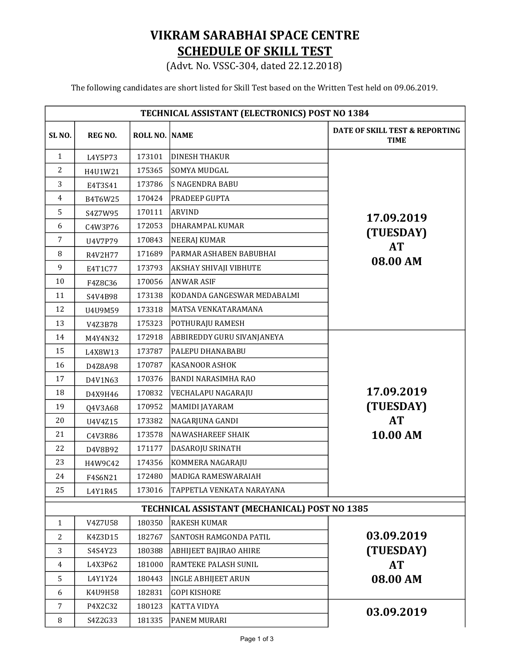## VIKRAM SARABHAI SPACE CENTRE SCHEDULE OF SKILL TEST

(Advt. No. VSSC-304, dated 22.12.2018)

The following candidates are short listed for Skill Test based on the Written Test held on 09.06.2019.

| TECHNICAL ASSISTANT (ELECTRONICS) POST NO 1384 |                |               |                                               |                                               |  |  |
|------------------------------------------------|----------------|---------------|-----------------------------------------------|-----------------------------------------------|--|--|
| SL <sub>NO.</sub>                              | <b>REG NO.</b> | ROLL NO. NAME |                                               | DATE OF SKILL TEST & REPORTING<br><b>TIME</b> |  |  |
| $\mathbf{1}$                                   | L4Y5P73        | 173101        | <b>DINESH THAKUR</b>                          | 17.09.2019                                    |  |  |
| 2                                              | H4U1W21        | 175365        | <b>SOMYA MUDGAL</b>                           |                                               |  |  |
| 3                                              | E4T3S41        | 173786        | <b>S NAGENDRA BABU</b>                        |                                               |  |  |
| 4                                              | B4T6W25        | 170424        | PRADEEP GUPTA                                 |                                               |  |  |
| 5                                              | S4Z7W95        | 170111        | <b>ARVIND</b>                                 |                                               |  |  |
| 6                                              | C4W3P76        | 172053        | DHARAMPAL KUMAR                               |                                               |  |  |
| 7                                              | U4V7P79        | 170843        | NEERAJ KUMAR                                  | (TUESDAY)                                     |  |  |
| 8                                              | R4V2H77        | 171689        | PARMAR ASHABEN BABUBHAI                       | <b>AT</b>                                     |  |  |
| 9                                              | E4T1C77        | 173793        | AKSHAY SHIVAJI VIBHUTE                        | 08.00 AM                                      |  |  |
| 10                                             | F4Z8C36        | 170056        | <b>ANWAR ASIF</b>                             |                                               |  |  |
| 11                                             | S4V4B98        | 173138        | KODANDA GANGESWAR MEDABALMI                   |                                               |  |  |
| 12                                             | U4U9M59        | 173318        | MATSA VENKATARAMANA                           |                                               |  |  |
| 13                                             | V4Z3B78        | 175323        | POTHURAJU RAMESH                              |                                               |  |  |
| 14                                             | M4Y4N32        | 172918        | ABBIREDDY GURU SIVANJANEYA                    |                                               |  |  |
| 15                                             | L4X8W13        | 173787        | PALEPU DHANABABU                              |                                               |  |  |
| 16                                             | D4Z8A98        | 170787        | <b>KASANOOR ASHOK</b>                         |                                               |  |  |
| 17                                             | D4V1N63        | 170376        | <b>BANDI NARASIMHA RAO</b>                    |                                               |  |  |
| 18                                             | D4X9H46        | 170832        | VECHALAPU NAGARAJU                            | 17.09.2019                                    |  |  |
| 19                                             | Q4V3A68        | 170952        | MAMIDI JAYARAM                                | (TUESDAY)                                     |  |  |
| 20                                             | U4V4Z15        | 173382        | NAGARJUNA GANDI                               | <b>AT</b>                                     |  |  |
| 21                                             | C4V3R86        | 173578        | <b>NAWASHAREEF SHAIK</b>                      | 10.00 AM                                      |  |  |
| 22                                             | D4V8B92        | 171177        | DASAROJU SRINATH                              |                                               |  |  |
| 23                                             | H4W9C42        | 174356        | KOMMERA NAGARAJU                              |                                               |  |  |
| 24                                             | F4S6N21        | 172480        | MADIGA RAMESWARAIAH                           |                                               |  |  |
| 25                                             | L4Y1R45        | 173016        | TAPPETLA VENKATA NARAYANA                     |                                               |  |  |
|                                                |                |               | TECHNICAL ASSISTANT (MECHANICAL) POST NO 1385 |                                               |  |  |
| $\mathbf{1}$                                   | V4Z7U58        | 180350        | <b>RAKESH KUMAR</b>                           |                                               |  |  |
| 2                                              | K4Z3D15        | 182767        | SANTOSH RAMGONDA PATIL                        | 03.09.2019                                    |  |  |
| 3                                              | S4S4Y23        | 180388        | <b>ABHIJEET BAJIRAO AHIRE</b>                 | (TUESDAY)                                     |  |  |
| 4                                              | L4X3P62        | 181000        | RAMTEKE PALASH SUNIL                          | <b>AT</b>                                     |  |  |
| 5                                              | L4Y1Y24        | 180443        | <b>INGLE ABHIJEET ARUN</b>                    | 08.00 AM                                      |  |  |
| 6                                              | K4U9H58        | 182831        | <b>GOPI KISHORE</b>                           |                                               |  |  |
| $\overline{7}$                                 | P4X2C32        | 180123        | KATTA VIDYA                                   | 03.09.2019                                    |  |  |
| 8                                              | S4Z2G33        | 181335        | PANEM MURARI                                  |                                               |  |  |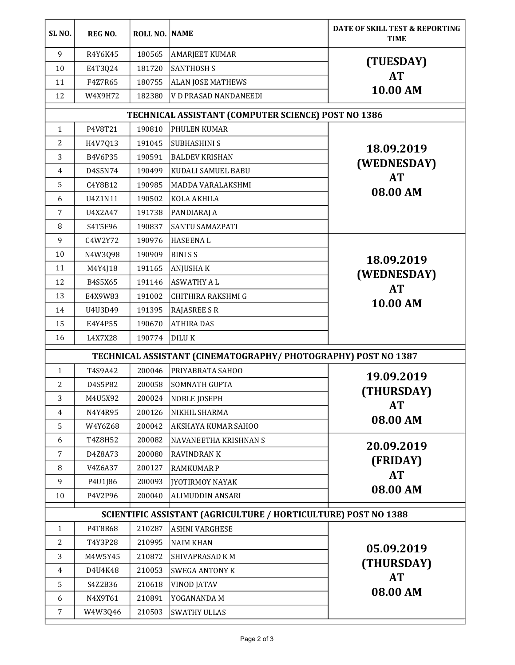| SL <sub>NO</sub> .                                            | <b>REG NO.</b>                                                 | <b>ROLL NO. NAME</b> |                              | DATE OF SKILL TEST & REPORTING<br><b>TIME</b>     |  |  |  |
|---------------------------------------------------------------|----------------------------------------------------------------|----------------------|------------------------------|---------------------------------------------------|--|--|--|
| 9                                                             | R4Y6K45                                                        | 180565               | <b>AMARJEET KUMAR</b>        | (TUESDAY)<br><b>AT</b><br>10.00 AM                |  |  |  |
| 10                                                            | E4T3Q24                                                        | 181720               | SANTHOSH S                   |                                                   |  |  |  |
| 11                                                            | F4Z7R65                                                        | 180755               | <b>ALAN JOSE MATHEWS</b>     |                                                   |  |  |  |
| 12                                                            | W4X9H72                                                        | 182380               | <b>V D PRASAD NANDANEEDI</b> |                                                   |  |  |  |
| TECHNICAL ASSISTANT (COMPUTER SCIENCE) POST NO 1386           |                                                                |                      |                              |                                                   |  |  |  |
| $\mathbf{1}$                                                  | P4V8T21                                                        | 190810               | PHULEN KUMAR                 | 18.09.2019<br>(WEDNESDAY)                         |  |  |  |
| 2                                                             | H4V7Q13                                                        | 191045               | SUBHASHINI S                 |                                                   |  |  |  |
| 3                                                             | B4V6P35                                                        | 190591               | <b>BALDEV KRISHAN</b>        |                                                   |  |  |  |
| 4                                                             | D4S5N74                                                        | 190499               | KUDALI SAMUEL BABU           |                                                   |  |  |  |
| 5                                                             | C4Y8B12                                                        | 190985               | <b>MADDA VARALAKSHMI</b>     | <b>AT</b><br>08.00 AM                             |  |  |  |
| 6                                                             | U4Z1N11                                                        | 190502               | KOLA AKHILA                  |                                                   |  |  |  |
| 7                                                             | U4X2A47                                                        | 191738               | PANDIARAJ A                  |                                                   |  |  |  |
| 8                                                             | S4T5F96                                                        | 190837               | <b>SANTU SAMAZPATI</b>       |                                                   |  |  |  |
| 9                                                             | C4W2Y72                                                        | 190976               | HASEENA L                    |                                                   |  |  |  |
| 10                                                            | N4W3Q98                                                        | 190909               | BINI S S                     | 18.09.2019                                        |  |  |  |
| 11                                                            | M4Y4J18                                                        | 191165               | <b>ANJUSHAK</b>              |                                                   |  |  |  |
| 12                                                            | B4S5X65                                                        | 191146               | <b>ASWATHY A L</b>           | (WEDNESDAY)<br><b>AT</b><br>10.00 AM              |  |  |  |
| 13                                                            | E4X9W83                                                        | 191002               | CHITHIRA RAKSHMI G           |                                                   |  |  |  |
| 14                                                            | U4U3D49                                                        | 191395               | <b>RAJASREE S R</b>          |                                                   |  |  |  |
| 15                                                            | E4Y4P55                                                        | 190670               | <b>ATHIRA DAS</b>            |                                                   |  |  |  |
| 16                                                            | L4X7X28                                                        | 190774               | <b>DILUK</b>                 |                                                   |  |  |  |
| TECHNICAL ASSISTANT (CINEMATOGRAPHY/PHOTOGRAPHY) POST NO 1387 |                                                                |                      |                              |                                                   |  |  |  |
| $\mathbf{1}$                                                  | T4S9A42                                                        | 200046               | <b>PRIYABRATA SAHOO</b>      | 19.09.2019                                        |  |  |  |
| 2                                                             | D4S5P82                                                        | 200058               | <b>SOMNATH GUPTA</b>         |                                                   |  |  |  |
| 3                                                             | M4U5X92                                                        | 200024               | NOBLE JOSEPH                 | (THURSDAY)                                        |  |  |  |
| 4                                                             | N4Y4R95                                                        | 200126               | NIKHIL SHARMA                | <b>AT</b><br>08.00 AM                             |  |  |  |
| 5                                                             | W4Y6Z68                                                        | 200042               | <b>AKSHAYA KUMAR SAHOO</b>   |                                                   |  |  |  |
| 6                                                             | T4Z8H52                                                        | 200082               | NAVANEETHA KRISHNAN S        | 20.09.2019<br>(FRIDAY)<br><b>AT</b><br>08.00 AM   |  |  |  |
| 7                                                             | D4Z8A73                                                        | 200080               | RAVINDRAN K                  |                                                   |  |  |  |
| 8                                                             | V4Z6A37                                                        | 200127               | <b>RAMKUMAR P</b>            |                                                   |  |  |  |
| 9                                                             | P4U1J86                                                        | 200093               | <b>JYOTIRMOY NAYAK</b>       |                                                   |  |  |  |
| 10                                                            | P4V2P96                                                        | 200040               | <b>ALIMUDDIN ANSARI</b>      |                                                   |  |  |  |
|                                                               | SCIENTIFIC ASSISTANT (AGRICULTURE / HORTICULTURE) POST NO 1388 |                      |                              |                                                   |  |  |  |
| 1                                                             | P4T8R68                                                        | 210287               | <b>ASHNI VARGHESE</b>        | 05.09.2019<br>(THURSDAY)<br><b>AT</b><br>08.00 AM |  |  |  |
| 2                                                             | T4Y3P28                                                        | 210995               | <b>NAIM KHAN</b>             |                                                   |  |  |  |
| 3                                                             | M4W5Y45                                                        | 210872               | SHIVAPRASAD KM               |                                                   |  |  |  |
| 4                                                             | D4U4K48                                                        | 210053               | <b>SWEGA ANTONY K</b>        |                                                   |  |  |  |
| 5                                                             | S4Z2B36                                                        | 210618               | <b>VINOD JATAV</b>           |                                                   |  |  |  |
| 6                                                             | N4X9T61                                                        | 210891               | YOGANANDA M                  |                                                   |  |  |  |
| $\overline{7}$                                                | W4W3Q46                                                        | 210503               | <b>SWATHY ULLAS</b>          |                                                   |  |  |  |